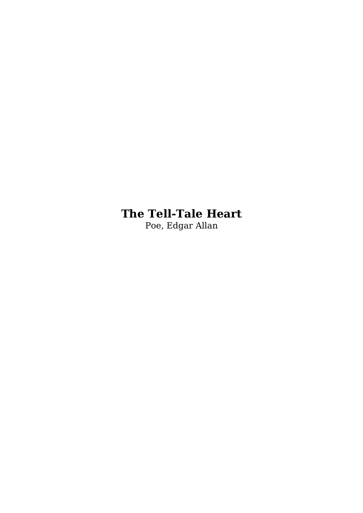## **The Tell-Tale Heart**

Poe, Edgar Allan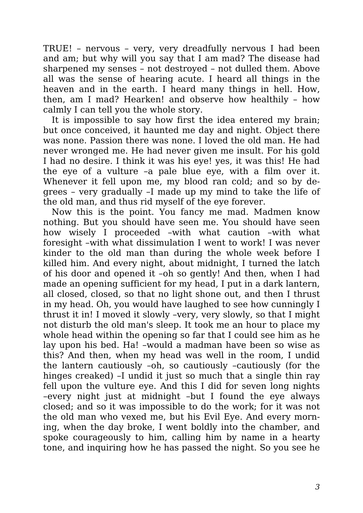TRUE! – nervous – very, very dreadfully nervous I had been and am; but why will you say that I am mad? The disease had sharpened my senses – not destroyed – not dulled them. Above all was the sense of hearing acute. I heard all things in the heaven and in the earth. I heard many things in hell. How, then, am I mad? Hearken! and observe how healthily – how calmly I can tell you the whole story.

It is impossible to say how first the idea entered my brain; but once conceived, it haunted me day and night. Object there was none. Passion there was none. I loved the old man. He had never wronged me. He had never given me insult. For his gold I had no desire. I think it was his eye! yes, it was this! He had the eye of a vulture –a pale blue eye, with a film over it. Whenever it fell upon me, my blood ran cold; and so by degrees – very gradually –I made up my mind to take the life of the old man, and thus rid myself of the eye forever.

Now this is the point. You fancy me mad. Madmen know nothing. But you should have seen me. You should have seen how wisely I proceeded –with what caution –with what foresight –with what dissimulation I went to work! I was never kinder to the old man than during the whole week before I killed him. And every night, about midnight, I turned the latch of his door and opened it –oh so gently! And then, when I had made an opening sufficient for my head, I put in a dark lantern, all closed, closed, so that no light shone out, and then I thrust in my head. Oh, you would have laughed to see how cunningly I thrust it in! I moved it slowly –very, very slowly, so that I might not disturb the old man's sleep. It took me an hour to place my whole head within the opening so far that I could see him as he lay upon his bed. Ha! –would a madman have been so wise as this? And then, when my head was well in the room, I undid the lantern cautiously –oh, so cautiously –cautiously (for the hinges creaked) –I undid it just so much that a single thin ray fell upon the vulture eye. And this I did for seven long nights –every night just at midnight –but I found the eye always closed; and so it was impossible to do the work; for it was not the old man who vexed me, but his Evil Eye. And every morning, when the day broke, I went boldly into the chamber, and spoke courageously to him, calling him by name in a hearty tone, and inquiring how he has passed the night. So you see he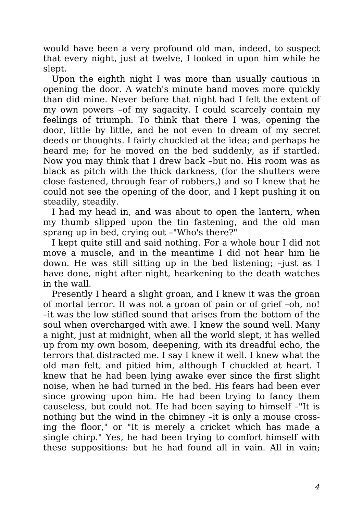would have been a very profound old man, indeed, to suspect that every night, just at twelve, I looked in upon him while he slept.

Upon the eighth night I was more than usually cautious in opening the door. A watch's minute hand moves more quickly than did mine. Never before that night had I felt the extent of my own powers –of my sagacity. I could scarcely contain my feelings of triumph. To think that there I was, opening the door, little by little, and he not even to dream of my secret deeds or thoughts. I fairly chuckled at the idea; and perhaps he heard me; for he moved on the bed suddenly, as if startled. Now you may think that I drew back –but no. His room was as black as pitch with the thick darkness, (for the shutters were close fastened, through fear of robbers,) and so I knew that he could not see the opening of the door, and I kept pushing it on steadily, steadily.

I had my head in, and was about to open the lantern, when my thumb slipped upon the tin fastening, and the old man sprang up in bed, crying out –"Who's there?"

I kept quite still and said nothing. For a whole hour I did not move a muscle, and in the meantime I did not hear him lie down. He was still sitting up in the bed listening; –just as I have done, night after night, hearkening to the death watches in the wall.

Presently I heard a slight groan, and I knew it was the groan of mortal terror. It was not a groan of pain or of grief –oh, no! –it was the low stifled sound that arises from the bottom of the soul when overcharged with awe. I knew the sound well. Many a night, just at midnight, when all the world slept, it has welled up from my own bosom, deepening, with its dreadful echo, the terrors that distracted me. I say I knew it well. I knew what the old man felt, and pitied him, although I chuckled at heart. I knew that he had been lying awake ever since the first slight noise, when he had turned in the bed. His fears had been ever since growing upon him. He had been trying to fancy them causeless, but could not. He had been saying to himself –"It is nothing but the wind in the chimney –it is only a mouse crossing the floor," or "It is merely a cricket which has made a single chirp." Yes, he had been trying to comfort himself with these suppositions: but he had found all in vain. All in vain;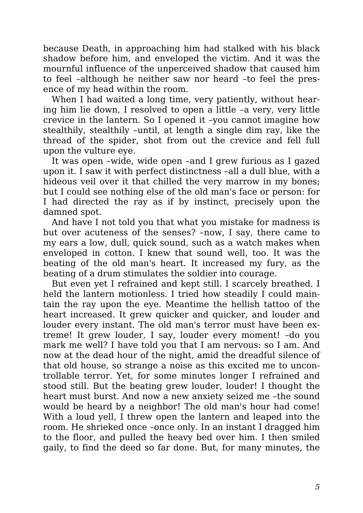because Death, in approaching him had stalked with his black shadow before him, and enveloped the victim. And it was the mournful influence of the unperceived shadow that caused him to feel –although he neither saw nor heard –to feel the presence of my head within the room.

When I had waited a long time, very patiently, without hearing him lie down, I resolved to open a little –a very, very little crevice in the lantern. So I opened it –you cannot imagine how stealthily, stealthily –until, at length a single dim ray, like the thread of the spider, shot from out the crevice and fell full upon the vulture eye.

It was open –wide, wide open –and I grew furious as I gazed upon it. I saw it with perfect distinctness –all a dull blue, with a hideous veil over it that chilled the very marrow in my bones; but I could see nothing else of the old man's face or person: for I had directed the ray as if by instinct, precisely upon the damned spot.

And have I not told you that what you mistake for madness is but over acuteness of the senses? –now, I say, there came to my ears a low, dull, quick sound, such as a watch makes when enveloped in cotton. I knew that sound well, too. It was the beating of the old man's heart. It increased my fury, as the beating of a drum stimulates the soldier into courage.

But even yet I refrained and kept still. I scarcely breathed. I held the lantern motionless. I tried how steadily I could maintain the ray upon the eye. Meantime the hellish tattoo of the heart increased. It grew quicker and quicker, and louder and louder every instant. The old man's terror must have been extreme! It grew louder, I say, louder every moment! –do you mark me well? I have told you that I am nervous: so I am. And now at the dead hour of the night, amid the dreadful silence of that old house, so strange a noise as this excited me to uncontrollable terror. Yet, for some minutes longer I refrained and stood still. But the beating grew louder, louder! I thought the heart must burst. And now a new anxiety seized me –the sound would be heard by a neighbor! The old man's hour had come! With a loud yell, I threw open the lantern and leaped into the room. He shrieked once –once only. In an instant I dragged him to the floor, and pulled the heavy bed over him. I then smiled gaily, to find the deed so far done. But, for many minutes, the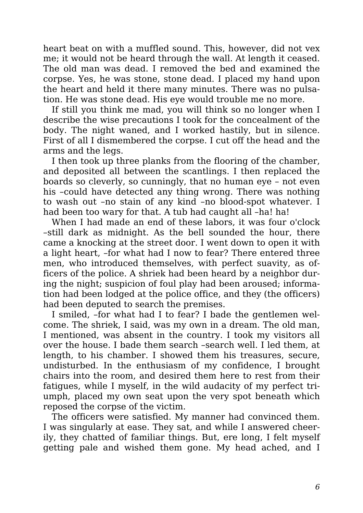heart beat on with a muffled sound. This, however, did not vex me; it would not be heard through the wall. At length it ceased. The old man was dead. I removed the bed and examined the corpse. Yes, he was stone, stone dead. I placed my hand upon the heart and held it there many minutes. There was no pulsation. He was stone dead. His eye would trouble me no more.

If still you think me mad, you will think so no longer when I describe the wise precautions I took for the concealment of the body. The night waned, and I worked hastily, but in silence. First of all I dismembered the corpse. I cut off the head and the arms and the legs.

I then took up three planks from the flooring of the chamber, and deposited all between the scantlings. I then replaced the boards so cleverly, so cunningly, that no human eye – not even his –could have detected any thing wrong. There was nothing to wash out –no stain of any kind –no blood-spot whatever. I had been too wary for that. A tub had caught all -ha! ha!

When I had made an end of these labors, it was four o'clock –still dark as midnight. As the bell sounded the hour, there came a knocking at the street door. I went down to open it with a light heart, –for what had I now to fear? There entered three men, who introduced themselves, with perfect suavity, as officers of the police. A shriek had been heard by a neighbor during the night; suspicion of foul play had been aroused; information had been lodged at the police office, and they (the officers) had been deputed to search the premises.

I smiled, –for what had I to fear? I bade the gentlemen welcome. The shriek, I said, was my own in a dream. The old man, I mentioned, was absent in the country. I took my visitors all over the house. I bade them search –search well. I led them, at length, to his chamber. I showed them his treasures, secure, undisturbed. In the enthusiasm of my confidence, I brought chairs into the room, and desired them here to rest from their fatigues, while I myself, in the wild audacity of my perfect triumph, placed my own seat upon the very spot beneath which reposed the corpse of the victim.

The officers were satisfied. My manner had convinced them. I was singularly at ease. They sat, and while I answered cheerily, they chatted of familiar things. But, ere long, I felt myself getting pale and wished them gone. My head ached, and I